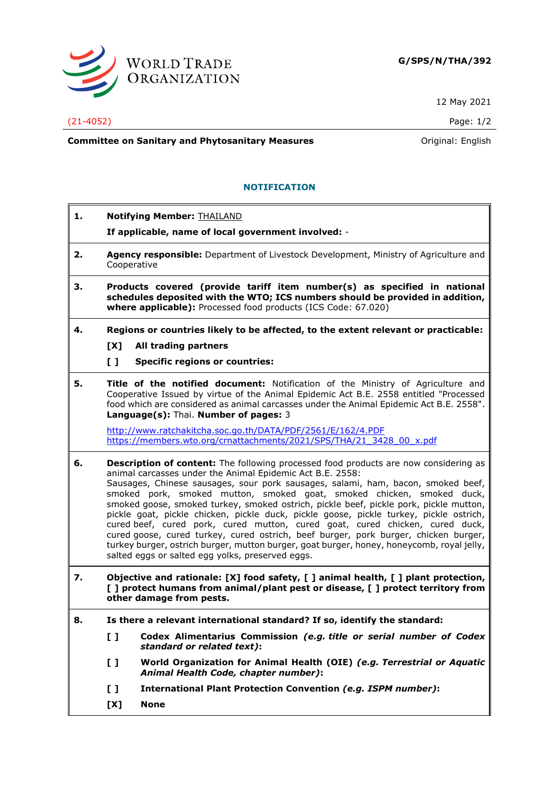

12 May 2021

(21-4052) Page: 1/2

**Committee on Sanitary and Phytosanitary Measures Committee on Sanitary and Phytosanitary Measures Committee And American** 

## **NOTIFICATION**

- **1. Notifying Member:** THAILAND **If applicable, name of local government involved:** - **2. Agency responsible:** Department of Livestock Development, Ministry of Agriculture and Cooperative
- **3. Products covered (provide tariff item number(s) as specified in national schedules deposited with the WTO; ICS numbers should be provided in addition, where applicable):** Processed food products (ICS Code: 67.020)
- **4. Regions or countries likely to be affected, to the extent relevant or practicable:**
	- **[X] All trading partners**
	- **[ ] Specific regions or countries:**
- **5. Title of the notified document:** Notification of the Ministry of Agriculture and Cooperative Issued by virtue of the Animal Epidemic Act B.E. 2558 entitled "Processed food which are considered as animal carcasses under the Animal Epidemic Act B.E. 2558". **Language(s):** Thai. **Number of pages:** 3

<http://www.ratchakitcha.soc.go.th/DATA/PDF/2561/E/162/4.PDF> [https://members.wto.org/crnattachments/2021/SPS/THA/21\\_3428\\_00\\_x.pdf](https://members.wto.org/crnattachments/2021/SPS/THA/21_3428_00_x.pdf)

- **6. Description of content:** The following processed food products are now considering as animal carcasses under the Animal Epidemic Act B.E. 2558: Sausages, Chinese sausages, sour pork sausages, salami, ham, bacon, smoked beef, smoked pork, smoked mutton, smoked goat, smoked chicken, smoked duck, smoked goose, smoked turkey, smoked ostrich, pickle beef, pickle pork, pickle mutton, pickle goat, pickle chicken, pickle duck, pickle goose, pickle turkey, pickle ostrich, cured beef, cured pork, cured mutton, cured goat, cured chicken, cured duck, cured goose, cured turkey, cured ostrich, beef burger, pork burger, chicken burger, turkey burger, ostrich burger, mutton burger, goat burger, honey, honeycomb, royal jelly, salted eggs or salted egg yolks, preserved eggs.
- **7. Objective and rationale: [X] food safety, [ ] animal health, [ ] plant protection, [ ] protect humans from animal/plant pest or disease, [ ] protect territory from other damage from pests.**
- **8. Is there a relevant international standard? If so, identify the standard:**
	- **[ ] Codex Alimentarius Commission** *(e.g. title or serial number of Codex standard or related text)***:**
	- **[ ] World Organization for Animal Health (OIE)** *(e.g. Terrestrial or Aquatic Animal Health Code, chapter number)***:**
	- **[ ] International Plant Protection Convention** *(e.g. ISPM number)***:**
	- **[X] None**